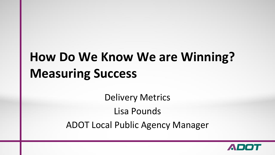# **How Do We Know We are Winning? Measuring Success**

Delivery Metrics Lisa Pounds ADOT Local Public Agency Manager

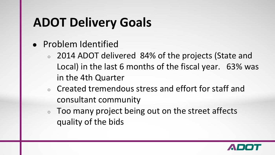# **ADOT Delivery Goals**

- Problem Identified
	- 2014 ADOT delivered 84% of the projects (State and Local) in the last 6 months of the fiscal year. 63% was in the 4th Quarter
	- Created tremendous stress and effort for staff and consultant community
	- Too many project being out on the street affects quality of the bids

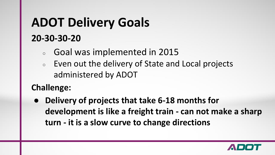# **ADOT Delivery Goals 20-30-30-20**

- Goal was implemented in 2015
- Even out the delivery of State and Local projects administered by ADOT

#### **Challenge:**

**Delivery of projects that take 6-18 months for development is like a freight train - can not make a sharp turn - it is a slow curve to change directions**

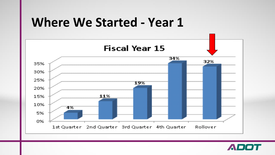## **Where We Started - Year 1**



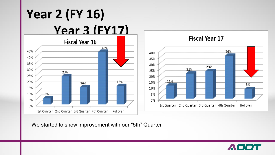

We started to show improvement with our "5th" Quarter

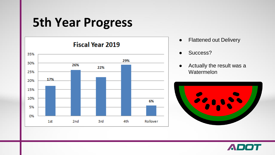## **5th Year Progress**



- Flattened out Delivery
- Success?
- Actually the result was a **Watermelon**



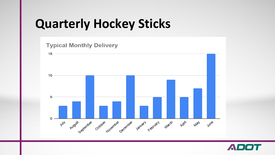# **Quarterly Hockey Sticks**



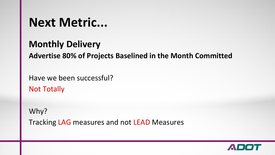## **Next Metric...**

#### **Monthly Delivery**

**Advertise 80% of Projects Baselined in the Month Committed**

Have we been successful?

Not Totally

Why? Tracking LAG measures and not LEAD Measures

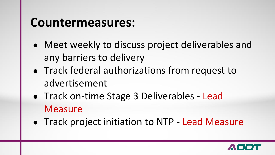## **Countermeasures:**

- Meet weekly to discuss project deliverables and any barriers to delivery
- Track federal authorizations from request to advertisement
- Track on-time Stage 3 Deliverables Lead **Measure**
- Track project initiation to NTP Lead Measure

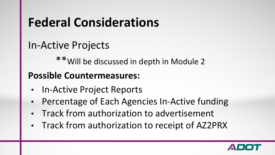# **Federal Considerations**

### In-Active Projects

\*\*Will be discussed in depth in Module 2

#### **Possible Countermeasures:**

- In-Active Project Reports
- Percentage of Each Agencies In-Active funding
- Track from authorization to advertisement
- Track from authorization to receipt of AZ2PRX

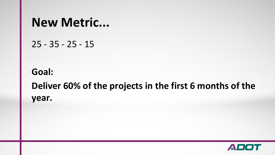### **New Metric...**

25 - 35 - 25 - 15

### **Goal: Deliver 60% of the projects in the first 6 months of the year.**